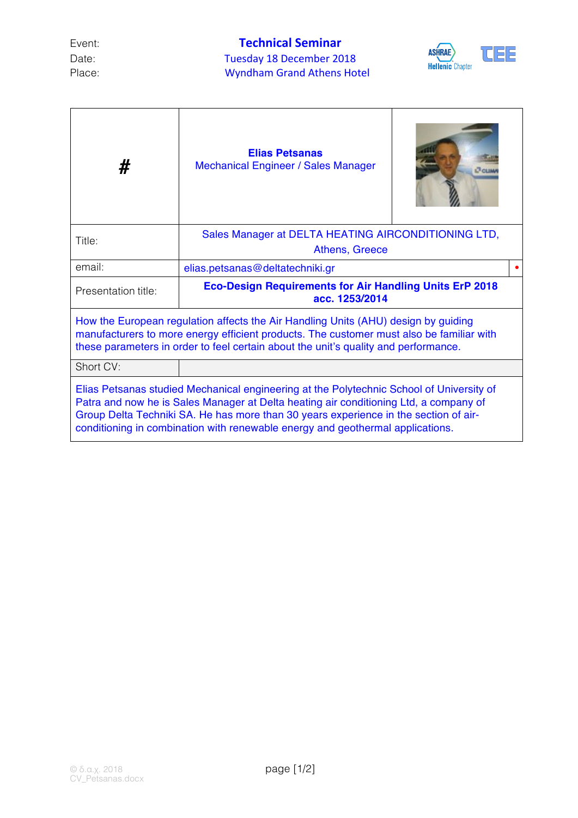## Event: **Technical Seminar** Date: Tuesday 18 December 2018 Place: Wyndham Grand Athens Hotel



| #                                                                                                                                                                                                                                                                                                                                                           | <b>Elias Petsanas</b><br><b>Mechanical Engineer / Sales Manager</b>              |  |  |  |  |  |  |
|-------------------------------------------------------------------------------------------------------------------------------------------------------------------------------------------------------------------------------------------------------------------------------------------------------------------------------------------------------------|----------------------------------------------------------------------------------|--|--|--|--|--|--|
| Title:                                                                                                                                                                                                                                                                                                                                                      | Sales Manager at DELTA HEATING AIRCONDITIONING LTD,<br>Athens, Greece            |  |  |  |  |  |  |
| email:                                                                                                                                                                                                                                                                                                                                                      | elias.petsanas@deltatechniki.gr                                                  |  |  |  |  |  |  |
| Presentation title:                                                                                                                                                                                                                                                                                                                                         | <b>Eco-Design Requirements for Air Handling Units ErP 2018</b><br>acc. 1253/2014 |  |  |  |  |  |  |
| How the European regulation affects the Air Handling Units (AHU) design by guiding<br>manufacturers to more energy efficient products. The customer must also be familiar with<br>these parameters in order to feel certain about the unit's quality and performance.                                                                                       |                                                                                  |  |  |  |  |  |  |
| Short CV:                                                                                                                                                                                                                                                                                                                                                   |                                                                                  |  |  |  |  |  |  |
| Elias Petsanas studied Mechanical engineering at the Polytechnic School of University of<br>Patra and now he is Sales Manager at Delta heating air conditioning Ltd, a company of<br>Group Delta Techniki SA. He has more than 30 years experience in the section of air-<br>conditioning in combination with renewable energy and geothermal applications. |                                                                                  |  |  |  |  |  |  |